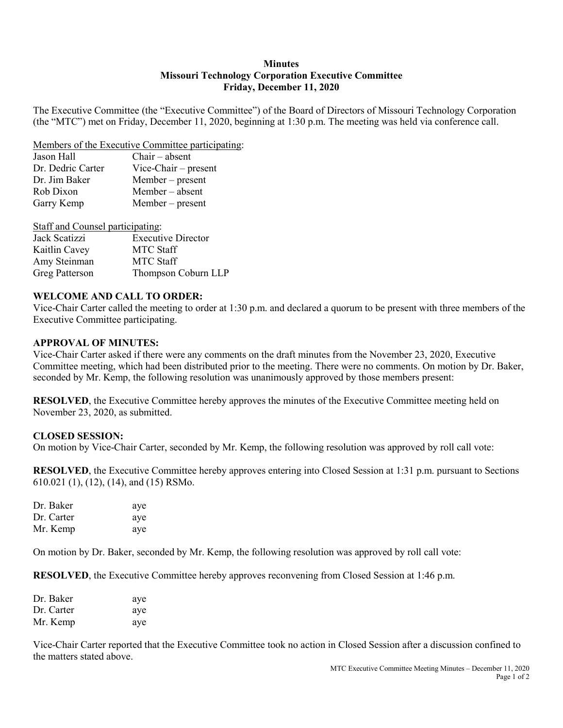### **Minutes Missouri Technology Corporation Executive Committee Friday, December 11, 2020**

The Executive Committee (the "Executive Committee") of the Board of Directors of Missouri Technology Corporation (the "MTC") met on Friday, December 11, 2020, beginning at 1:30 p.m. The meeting was held via conference call.

Members of the Executive Committee participating:

| Jason Hall        | $Chair - absent$       |
|-------------------|------------------------|
| Dr. Dedric Carter | $Vice-Chair - present$ |
| Dr. Jim Baker     | $Member - present$     |
| Rob Dixon         | $Member - absent$      |
| Garry Kemp        | Member – present       |

| Staff and Counsel participating: |                           |  |
|----------------------------------|---------------------------|--|
| Jack Scatizzi                    | <b>Executive Director</b> |  |
| Kaitlin Cavey                    | <b>MTC</b> Staff          |  |
| Amy Steinman                     | <b>MTC Staff</b>          |  |
| Greg Patterson                   | Thompson Coburn LLP       |  |

## **WELCOME AND CALL TO ORDER:**

Vice-Chair Carter called the meeting to order at 1:30 p.m. and declared a quorum to be present with three members of the Executive Committee participating.

## **APPROVAL OF MINUTES:**

Vice-Chair Carter asked if there were any comments on the draft minutes from the November 23, 2020, Executive Committee meeting, which had been distributed prior to the meeting. There were no comments. On motion by Dr. Baker, seconded by Mr. Kemp, the following resolution was unanimously approved by those members present:

**RESOLVED**, the Executive Committee hereby approves the minutes of the Executive Committee meeting held on November 23, 2020, as submitted.

# **CLOSED SESSION:**

On motion by Vice-Chair Carter, seconded by Mr. Kemp, the following resolution was approved by roll call vote:

**RESOLVED**, the Executive Committee hereby approves entering into Closed Session at 1:31 p.m. pursuant to Sections 610.021 (1), (12), (14), and (15) RSMo.

| Dr. Baker  | aye |
|------------|-----|
| Dr. Carter | aye |
| Mr. Kemp   | aye |

On motion by Dr. Baker, seconded by Mr. Kemp, the following resolution was approved by roll call vote:

**RESOLVED**, the Executive Committee hereby approves reconvening from Closed Session at 1:46 p.m.

| Dr. Baker  | aye |
|------------|-----|
| Dr. Carter | aye |
| Mr. Kemp   | aye |

Vice-Chair Carter reported that the Executive Committee took no action in Closed Session after a discussion confined to the matters stated above.